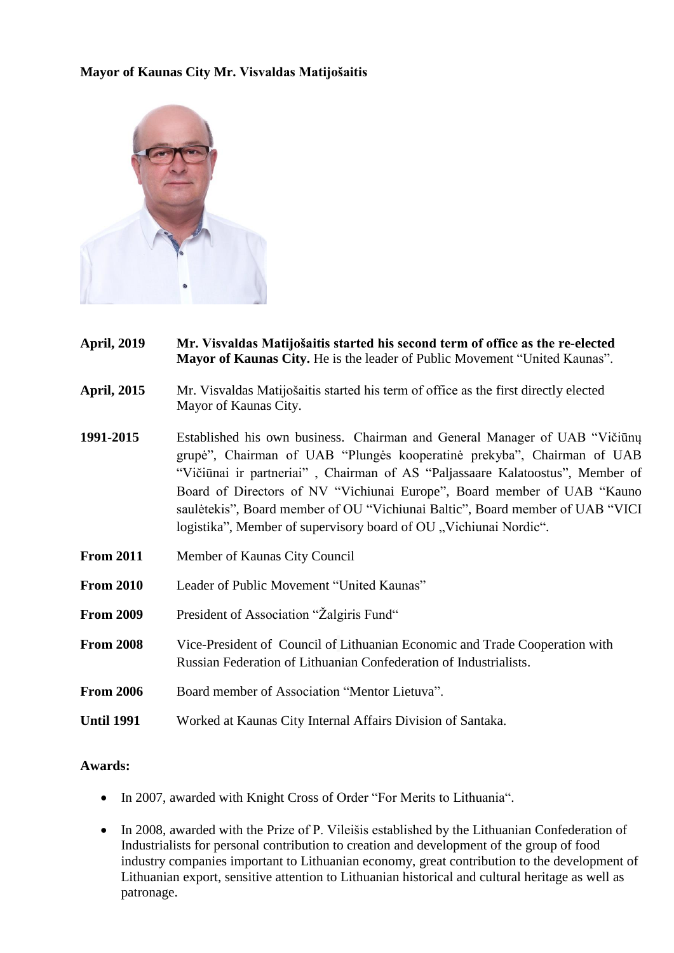## **Mayor of Kaunas City Mr. Visvaldas Matijošaitis**



- **April, 2019 Mr. Visvaldas Matijošaitis started his second term of office as the re-elected Mayor of Kaunas City.** He is the leader of Public Movement "United Kaunas".
- **April, 2015** Mr. Visvaldas Matijošaitis started his term of office as the first directly elected Mayor of Kaunas City.
- **1991-2015** Established his own business. Chairman and General Manager of UAB "Vičiūnų grupė", Chairman of UAB "Plungės kooperatinė prekyba", Chairman of UAB "Vičiūnai ir partneriai" , Chairman of AS "Paljassaare Kalatoostus", Member of Board of Directors of NV "Vichiunai Europe", Board member of UAB "Kauno saulėtekis", Board member of OU "Vichiunai Baltic", Board member of UAB "VICI logistika". Member of supervisory board of OU . Vichiunai Nordic".
- **From 2011** Member of Kaunas City Council
- **From 2010** Leader of Public Movement "United Kaunas"
- **From 2009** President of Association "Žalgiris Fund"
- **From 2008** Vice-President of Council of Lithuanian Economic and Trade Cooperation with Russian Federation of Lithuanian Confederation of Industrialists.
- **From 2006** Board member of Association "Mentor Lietuva".
- **Until 1991** Worked at Kaunas City Internal Affairs Division of Santaka.

## **Awards:**

- In 2007, awarded with Knight Cross of Order "For Merits to Lithuania".
- In 2008, awarded with the Prize of P. Vileišis established by the Lithuanian Confederation of Industrialists for personal contribution to creation and development of the group of food industry companies important to Lithuanian economy, great contribution to the development of Lithuanian export, sensitive attention to Lithuanian historical and cultural heritage as well as patronage.